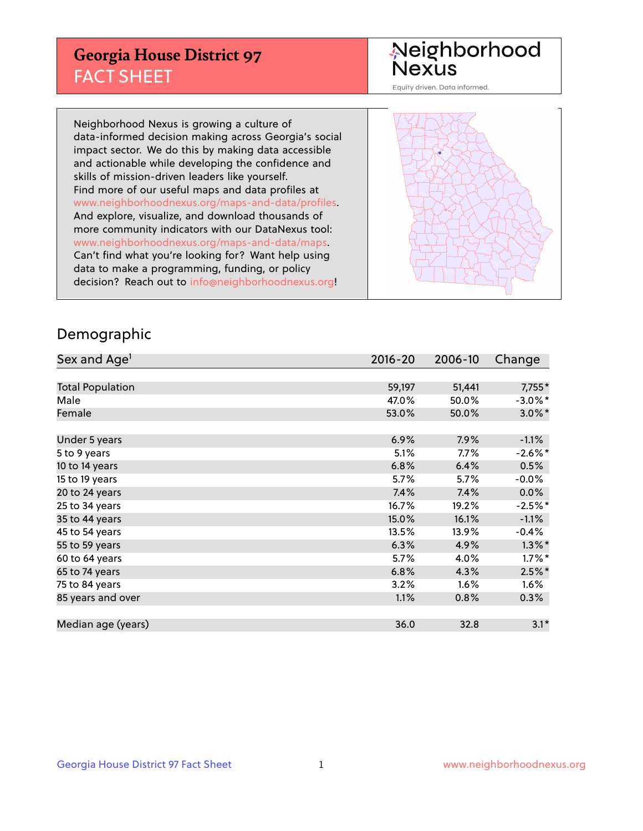## **Georgia House District 97** FACT SHEET

# Neighborhood<br>Nexus

Equity driven. Data informed.

Neighborhood Nexus is growing a culture of data-informed decision making across Georgia's social impact sector. We do this by making data accessible and actionable while developing the confidence and skills of mission-driven leaders like yourself. Find more of our useful maps and data profiles at www.neighborhoodnexus.org/maps-and-data/profiles. And explore, visualize, and download thousands of more community indicators with our DataNexus tool: www.neighborhoodnexus.org/maps-and-data/maps. Can't find what you're looking for? Want help using data to make a programming, funding, or policy decision? Reach out to [info@neighborhoodnexus.org!](mailto:info@neighborhoodnexus.org)



#### Demographic

| Sex and Age <sup>1</sup> | $2016 - 20$ | 2006-10 | Change     |
|--------------------------|-------------|---------|------------|
|                          |             |         |            |
| <b>Total Population</b>  | 59,197      | 51,441  | $7,755*$   |
| Male                     | 47.0%       | 50.0%   | $-3.0\%$ * |
| Female                   | 53.0%       | 50.0%   | $3.0\%$ *  |
|                          |             |         |            |
| Under 5 years            | 6.9%        | 7.9%    | $-1.1%$    |
| 5 to 9 years             | 5.1%        | $7.7\%$ | $-2.6\%$ * |
| 10 to 14 years           | 6.8%        | 6.4%    | 0.5%       |
| 15 to 19 years           | 5.7%        | 5.7%    | $-0.0%$    |
| 20 to 24 years           | 7.4%        | 7.4%    | 0.0%       |
| 25 to 34 years           | 16.7%       | 19.2%   | $-2.5%$ *  |
| 35 to 44 years           | 15.0%       | 16.1%   | $-1.1%$    |
| 45 to 54 years           | 13.5%       | 13.9%   | $-0.4%$    |
| 55 to 59 years           | 6.3%        | 4.9%    | $1.3\%$ *  |
| 60 to 64 years           | 5.7%        | 4.0%    | $1.7\%$ *  |
| 65 to 74 years           | 6.8%        | 4.3%    | $2.5\%$ *  |
| 75 to 84 years           | 3.2%        | 1.6%    | 1.6%       |
| 85 years and over        | 1.1%        | 0.8%    | 0.3%       |
|                          |             |         |            |
| Median age (years)       | 36.0        | 32.8    | $3.1*$     |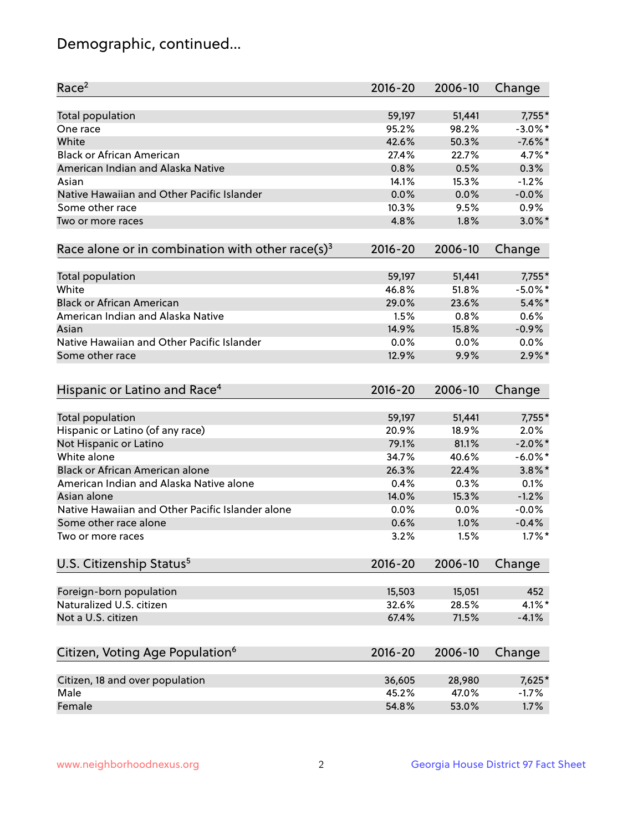## Demographic, continued...

| Race <sup>2</sup>                                            | $2016 - 20$ | 2006-10 | Change     |
|--------------------------------------------------------------|-------------|---------|------------|
| <b>Total population</b>                                      | 59,197      | 51,441  | $7,755*$   |
| One race                                                     | 95.2%       | 98.2%   | $-3.0\%$ * |
| White                                                        | 42.6%       | 50.3%   | $-7.6%$ *  |
| <b>Black or African American</b>                             | 27.4%       | 22.7%   | 4.7%*      |
| American Indian and Alaska Native                            | 0.8%        | 0.5%    | 0.3%       |
| Asian                                                        | 14.1%       | 15.3%   | $-1.2%$    |
| Native Hawaiian and Other Pacific Islander                   | 0.0%        | 0.0%    | $-0.0%$    |
| Some other race                                              | 10.3%       | 9.5%    | 0.9%       |
| Two or more races                                            | 4.8%        | 1.8%    | $3.0\%$ *  |
| Race alone or in combination with other race(s) <sup>3</sup> | $2016 - 20$ | 2006-10 | Change     |
| Total population                                             | 59,197      | 51,441  | 7,755*     |
| White                                                        | 46.8%       | 51.8%   | $-5.0\%$ * |
| <b>Black or African American</b>                             | 29.0%       | 23.6%   | $5.4\%$ *  |
| American Indian and Alaska Native                            | 1.5%        | 0.8%    | 0.6%       |
| Asian                                                        | 14.9%       | 15.8%   | $-0.9%$    |
| Native Hawaiian and Other Pacific Islander                   | 0.0%        | 0.0%    | $0.0\%$    |
| Some other race                                              | 12.9%       | 9.9%    | $2.9\%$ *  |
| Hispanic or Latino and Race <sup>4</sup>                     | $2016 - 20$ | 2006-10 | Change     |
| Total population                                             | 59,197      | 51,441  | 7,755*     |
| Hispanic or Latino (of any race)                             | 20.9%       | 18.9%   | 2.0%       |
| Not Hispanic or Latino                                       | 79.1%       | 81.1%   | $-2.0\%$ * |
| White alone                                                  | 34.7%       | 40.6%   | $-6.0\%$ * |
| Black or African American alone                              | 26.3%       | 22.4%   | $3.8\%$ *  |
| American Indian and Alaska Native alone                      | 0.4%        | 0.3%    | 0.1%       |
| Asian alone                                                  | 14.0%       | 15.3%   | $-1.2%$    |
| Native Hawaiian and Other Pacific Islander alone             | 0.0%        | 0.0%    | $-0.0%$    |
| Some other race alone                                        | 0.6%        | 1.0%    | $-0.4%$    |
| Two or more races                                            | 3.2%        | 1.5%    | $1.7\%$ *  |
|                                                              |             |         |            |
| U.S. Citizenship Status <sup>5</sup>                         | $2016 - 20$ | 2006-10 | Change     |
| Foreign-born population                                      | 15,503      | 15,051  | 452        |
| Naturalized U.S. citizen                                     | 32.6%       | 28.5%   | 4.1%*      |
| Not a U.S. citizen                                           | 67.4%       | 71.5%   | $-4.1%$    |
| Citizen, Voting Age Population <sup>6</sup>                  | $2016 - 20$ | 2006-10 | Change     |
|                                                              |             |         |            |
| Citizen, 18 and over population                              | 36,605      | 28,980  | 7,625*     |
| Male                                                         | 45.2%       | 47.0%   | $-1.7%$    |
| Female                                                       | 54.8%       | 53.0%   | 1.7%       |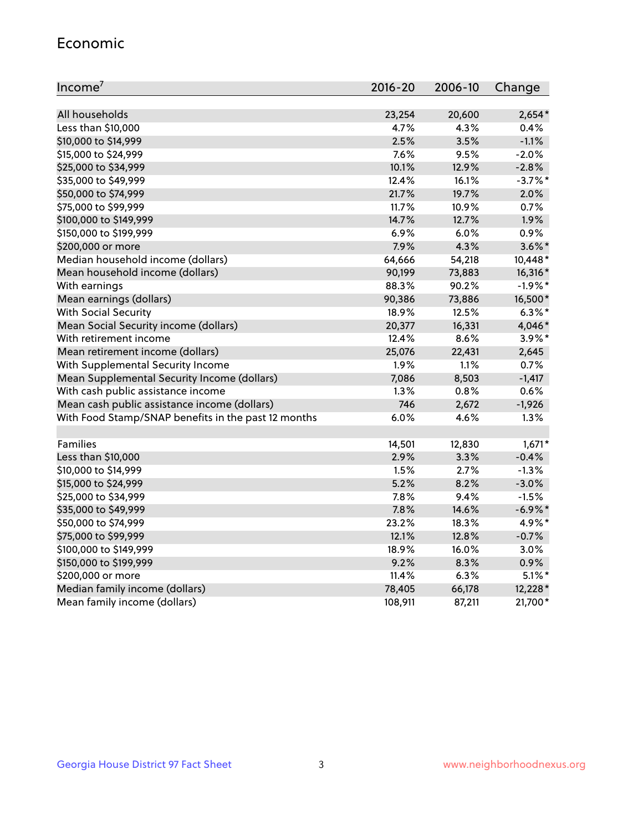#### Economic

| Income <sup>7</sup>                                 | $2016 - 20$ | 2006-10 | Change     |
|-----------------------------------------------------|-------------|---------|------------|
|                                                     |             |         |            |
| All households                                      | 23,254      | 20,600  | $2,654*$   |
| Less than \$10,000                                  | 4.7%        | 4.3%    | 0.4%       |
| \$10,000 to \$14,999                                | 2.5%        | 3.5%    | $-1.1%$    |
| \$15,000 to \$24,999                                | 7.6%        | 9.5%    | $-2.0%$    |
| \$25,000 to \$34,999                                | 10.1%       | 12.9%   | $-2.8%$    |
| \$35,000 to \$49,999                                | 12.4%       | 16.1%   | $-3.7\%$ * |
| \$50,000 to \$74,999                                | 21.7%       | 19.7%   | 2.0%       |
| \$75,000 to \$99,999                                | 11.7%       | 10.9%   | 0.7%       |
| \$100,000 to \$149,999                              | 14.7%       | 12.7%   | 1.9%       |
| \$150,000 to \$199,999                              | 6.9%        | 6.0%    | 0.9%       |
| \$200,000 or more                                   | 7.9%        | 4.3%    | $3.6\%$ *  |
| Median household income (dollars)                   | 64,666      | 54,218  | 10,448*    |
| Mean household income (dollars)                     | 90,199      | 73,883  | 16,316*    |
| With earnings                                       | 88.3%       | 90.2%   | $-1.9%$ *  |
| Mean earnings (dollars)                             | 90,386      | 73,886  | 16,500*    |
| <b>With Social Security</b>                         | 18.9%       | 12.5%   | $6.3\%$ *  |
| Mean Social Security income (dollars)               | 20,377      | 16,331  | 4,046*     |
| With retirement income                              | 12.4%       | 8.6%    | 3.9%*      |
| Mean retirement income (dollars)                    | 25,076      | 22,431  | 2,645      |
| With Supplemental Security Income                   | 1.9%        | 1.1%    | 0.7%       |
| Mean Supplemental Security Income (dollars)         | 7,086       | 8,503   | $-1,417$   |
| With cash public assistance income                  | 1.3%        | 0.8%    | 0.6%       |
| Mean cash public assistance income (dollars)        | 746         | 2,672   | $-1,926$   |
| With Food Stamp/SNAP benefits in the past 12 months | 6.0%        | 4.6%    | 1.3%       |
|                                                     |             |         |            |
| Families                                            | 14,501      | 12,830  | $1,671*$   |
| Less than \$10,000                                  | 2.9%        | 3.3%    | $-0.4%$    |
| \$10,000 to \$14,999                                | 1.5%        | 2.7%    | $-1.3%$    |
| \$15,000 to \$24,999                                | 5.2%        | 8.2%    | $-3.0%$    |
| \$25,000 to \$34,999                                | 7.8%        | 9.4%    | $-1.5%$    |
| \$35,000 to \$49,999                                | 7.8%        | 14.6%   | $-6.9\%$ * |
| \$50,000 to \$74,999                                | 23.2%       | 18.3%   | 4.9%*      |
| \$75,000 to \$99,999                                | 12.1%       | 12.8%   | $-0.7%$    |
| \$100,000 to \$149,999                              | 18.9%       | 16.0%   | 3.0%       |
| \$150,000 to \$199,999                              | 9.2%        | 8.3%    | 0.9%       |
| \$200,000 or more                                   | 11.4%       | 6.3%    | $5.1\%$ *  |
| Median family income (dollars)                      | 78,405      | 66,178  | 12,228 *   |
| Mean family income (dollars)                        | 108,911     | 87,211  | 21,700*    |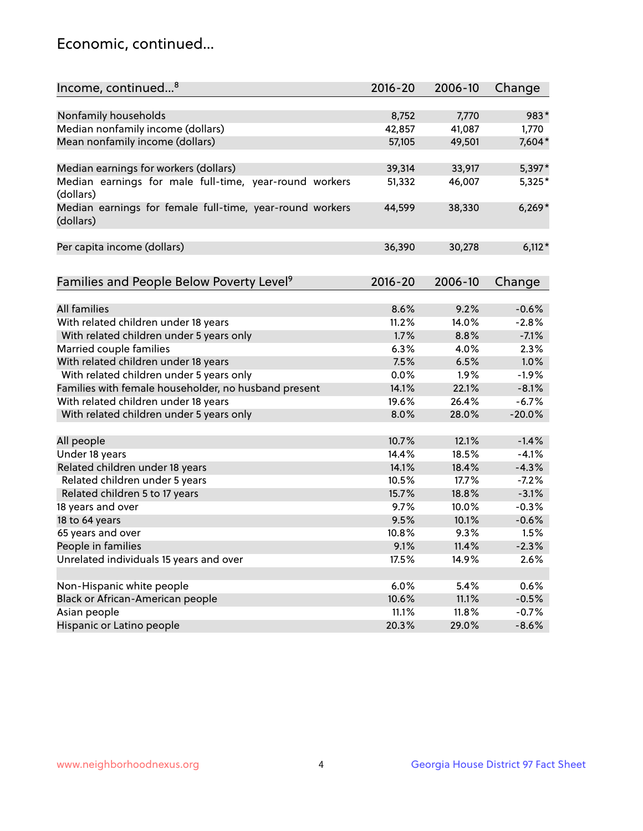## Economic, continued...

| Income, continued <sup>8</sup>                           | 2016-20 | 2006-10 | Change   |
|----------------------------------------------------------|---------|---------|----------|
|                                                          |         |         |          |
| Nonfamily households                                     | 8,752   | 7,770   | 983*     |
| Median nonfamily income (dollars)                        | 42,857  | 41,087  | 1,770    |
| Mean nonfamily income (dollars)                          | 57,105  | 49,501  | 7,604*   |
|                                                          |         |         |          |
| Median earnings for workers (dollars)                    | 39,314  | 33,917  | 5,397*   |
| Median earnings for male full-time, year-round workers   | 51,332  | 46,007  | 5,325*   |
| (dollars)                                                |         |         |          |
| Median earnings for female full-time, year-round workers | 44,599  | 38,330  | $6,269*$ |
| (dollars)                                                |         |         |          |
|                                                          |         |         |          |
| Per capita income (dollars)                              | 36,390  | 30,278  | $6,112*$ |
|                                                          |         |         |          |
| Families and People Below Poverty Level <sup>9</sup>     | 2016-20 | 2006-10 | Change   |
|                                                          |         |         |          |
| <b>All families</b>                                      | 8.6%    | 9.2%    | $-0.6%$  |
| With related children under 18 years                     | 11.2%   | 14.0%   | $-2.8%$  |
| With related children under 5 years only                 | 1.7%    | 8.8%    | $-7.1%$  |
| Married couple families                                  | 6.3%    | 4.0%    | 2.3%     |
| With related children under 18 years                     | 7.5%    | 6.5%    | 1.0%     |
| With related children under 5 years only                 | 0.0%    | 1.9%    | $-1.9%$  |
| Families with female householder, no husband present     | 14.1%   | 22.1%   | $-8.1%$  |
| With related children under 18 years                     | 19.6%   | 26.4%   | $-6.7%$  |
| With related children under 5 years only                 | 8.0%    | 28.0%   | $-20.0%$ |
|                                                          |         |         |          |
| All people                                               | 10.7%   | 12.1%   | $-1.4%$  |
| Under 18 years                                           | 14.4%   | 18.5%   | $-4.1%$  |
| Related children under 18 years                          | 14.1%   | 18.4%   | $-4.3%$  |
| Related children under 5 years                           | 10.5%   | 17.7%   | $-7.2%$  |
| Related children 5 to 17 years                           | 15.7%   | 18.8%   | $-3.1%$  |
| 18 years and over                                        | 9.7%    | 10.0%   | $-0.3%$  |
| 18 to 64 years                                           | 9.5%    | 10.1%   | $-0.6%$  |
| 65 years and over                                        | 10.8%   | 9.3%    | 1.5%     |
| People in families                                       | 9.1%    | 11.4%   | $-2.3%$  |
| Unrelated individuals 15 years and over                  | 17.5%   | 14.9%   | 2.6%     |
|                                                          |         |         |          |
| Non-Hispanic white people                                | 6.0%    | 5.4%    | 0.6%     |
| Black or African-American people                         | 10.6%   | 11.1%   | $-0.5%$  |
| Asian people                                             | 11.1%   | 11.8%   | $-0.7%$  |
| Hispanic or Latino people                                | 20.3%   | 29.0%   | $-8.6%$  |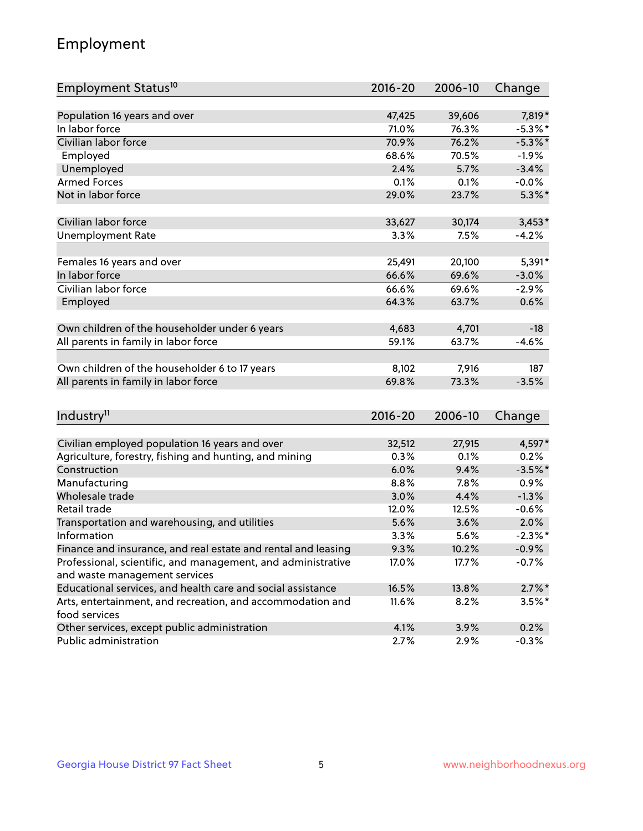## Employment

| Employment Status <sup>10</sup>                                             | $2016 - 20$ | 2006-10 | Change     |
|-----------------------------------------------------------------------------|-------------|---------|------------|
|                                                                             |             |         |            |
| Population 16 years and over                                                | 47,425      | 39,606  | 7,819*     |
| In labor force                                                              | 71.0%       | 76.3%   | $-5.3\%$ * |
| Civilian labor force                                                        | 70.9%       | 76.2%   | $-5.3\%$ * |
| Employed                                                                    | 68.6%       | 70.5%   | $-1.9%$    |
| Unemployed                                                                  | 2.4%        | 5.7%    | $-3.4%$    |
| <b>Armed Forces</b>                                                         | 0.1%        | 0.1%    | $-0.0%$    |
| Not in labor force                                                          | 29.0%       | 23.7%   | $5.3\%$ *  |
| Civilian labor force                                                        | 33,627      | 30,174  | $3,453*$   |
|                                                                             | 3.3%        | 7.5%    | $-4.2%$    |
| <b>Unemployment Rate</b>                                                    |             |         |            |
| Females 16 years and over                                                   | 25,491      | 20,100  | 5,391*     |
| In labor force                                                              | 66.6%       | 69.6%   | $-3.0%$    |
| Civilian labor force                                                        | 66.6%       | 69.6%   | $-2.9%$    |
| Employed                                                                    | 64.3%       | 63.7%   | 0.6%       |
|                                                                             |             |         |            |
| Own children of the householder under 6 years                               | 4,683       | 4,701   | $-18$      |
| All parents in family in labor force                                        | 59.1%       | 63.7%   | $-4.6%$    |
| Own children of the householder 6 to 17 years                               | 8,102       | 7,916   | 187        |
| All parents in family in labor force                                        | 69.8%       | 73.3%   | $-3.5%$    |
|                                                                             |             |         |            |
| Industry <sup>11</sup>                                                      | $2016 - 20$ | 2006-10 | Change     |
|                                                                             |             |         |            |
| Civilian employed population 16 years and over                              | 32,512      | 27,915  | 4,597*     |
| Agriculture, forestry, fishing and hunting, and mining                      | 0.3%        | 0.1%    | 0.2%       |
| Construction                                                                | 6.0%        | 9.4%    | $-3.5%$ *  |
| Manufacturing                                                               | 8.8%        | 7.8%    | 0.9%       |
| Wholesale trade                                                             | 3.0%        | 4.4%    | $-1.3%$    |
| Retail trade                                                                | 12.0%       | 12.5%   | $-0.6%$    |
| Transportation and warehousing, and utilities                               | 5.6%        | 3.6%    | 2.0%       |
| Information                                                                 | 3.3%        | 5.6%    | $-2.3\%$ * |
| Finance and insurance, and real estate and rental and leasing               | 9.3%        | 10.2%   | $-0.9%$    |
| Professional, scientific, and management, and administrative                | 17.0%       | 17.7%   | $-0.7%$    |
| and waste management services                                               |             |         |            |
| Educational services, and health care and social assistance                 | 16.5%       | 13.8%   | $2.7\%$ *  |
| Arts, entertainment, and recreation, and accommodation and<br>food services | 11.6%       | 8.2%    | $3.5\%$ *  |
| Other services, except public administration                                | 4.1%        | 3.9%    | 0.2%       |
| Public administration                                                       | 2.7%        | 2.9%    | $-0.3%$    |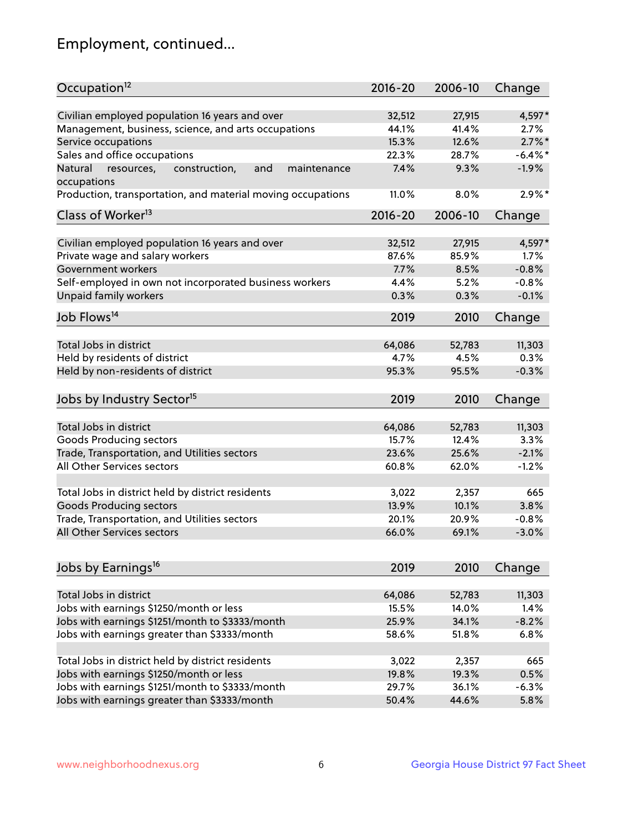## Employment, continued...

| Occupation <sup>12</sup>                                     | $2016 - 20$ | 2006-10 | Change     |
|--------------------------------------------------------------|-------------|---------|------------|
|                                                              |             |         |            |
| Civilian employed population 16 years and over               | 32,512      | 27,915  | 4,597*     |
| Management, business, science, and arts occupations          | 44.1%       | 41.4%   | 2.7%       |
| Service occupations                                          | 15.3%       | 12.6%   | $2.7\%$ *  |
| Sales and office occupations                                 | 22.3%       | 28.7%   | $-6.4\%$ * |
| Natural<br>construction,<br>and<br>resources,<br>maintenance | 7.4%        | 9.3%    | $-1.9%$    |
| occupations                                                  |             |         |            |
| Production, transportation, and material moving occupations  | 11.0%       | 8.0%    | $2.9\%*$   |
| Class of Worker <sup>13</sup>                                | $2016 - 20$ | 2006-10 | Change     |
|                                                              |             |         |            |
| Civilian employed population 16 years and over               | 32,512      | 27,915  | 4,597*     |
| Private wage and salary workers                              | 87.6%       | 85.9%   | 1.7%       |
| Government workers                                           | 7.7%        | 8.5%    | $-0.8%$    |
| Self-employed in own not incorporated business workers       | 4.4%        | 5.2%    | $-0.8%$    |
| Unpaid family workers                                        | 0.3%        | 0.3%    | $-0.1%$    |
| Job Flows <sup>14</sup>                                      | 2019        | 2010    | Change     |
|                                                              |             |         |            |
| Total Jobs in district                                       | 64,086      | 52,783  | 11,303     |
| Held by residents of district                                | 4.7%        | 4.5%    | 0.3%       |
| Held by non-residents of district                            | 95.3%       | 95.5%   | $-0.3%$    |
| Jobs by Industry Sector <sup>15</sup>                        | 2019        | 2010    |            |
|                                                              |             |         | Change     |
| Total Jobs in district                                       | 64,086      | 52,783  | 11,303     |
| Goods Producing sectors                                      | 15.7%       | 12.4%   | 3.3%       |
| Trade, Transportation, and Utilities sectors                 | 23.6%       | 25.6%   | $-2.1%$    |
| All Other Services sectors                                   | 60.8%       | 62.0%   | $-1.2%$    |
|                                                              |             |         |            |
| Total Jobs in district held by district residents            | 3,022       | 2,357   | 665        |
| <b>Goods Producing sectors</b>                               | 13.9%       | 10.1%   | 3.8%       |
| Trade, Transportation, and Utilities sectors                 | 20.1%       | 20.9%   | $-0.8%$    |
| All Other Services sectors                                   | 66.0%       | 69.1%   | $-3.0%$    |
|                                                              |             |         |            |
| Jobs by Earnings <sup>16</sup>                               | 2019        | 2010    | Change     |
|                                                              |             |         |            |
| Total Jobs in district                                       | 64,086      | 52,783  | 11,303     |
| Jobs with earnings \$1250/month or less                      | 15.5%       | 14.0%   | 1.4%       |
| Jobs with earnings \$1251/month to \$3333/month              | 25.9%       | 34.1%   | $-8.2%$    |
| Jobs with earnings greater than \$3333/month                 | 58.6%       | 51.8%   | 6.8%       |
|                                                              |             |         |            |
| Total Jobs in district held by district residents            | 3,022       | 2,357   | 665        |
| Jobs with earnings \$1250/month or less                      | 19.8%       | 19.3%   | 0.5%       |
| Jobs with earnings \$1251/month to \$3333/month              | 29.7%       | 36.1%   | $-6.3%$    |
| Jobs with earnings greater than \$3333/month                 | 50.4%       | 44.6%   | 5.8%       |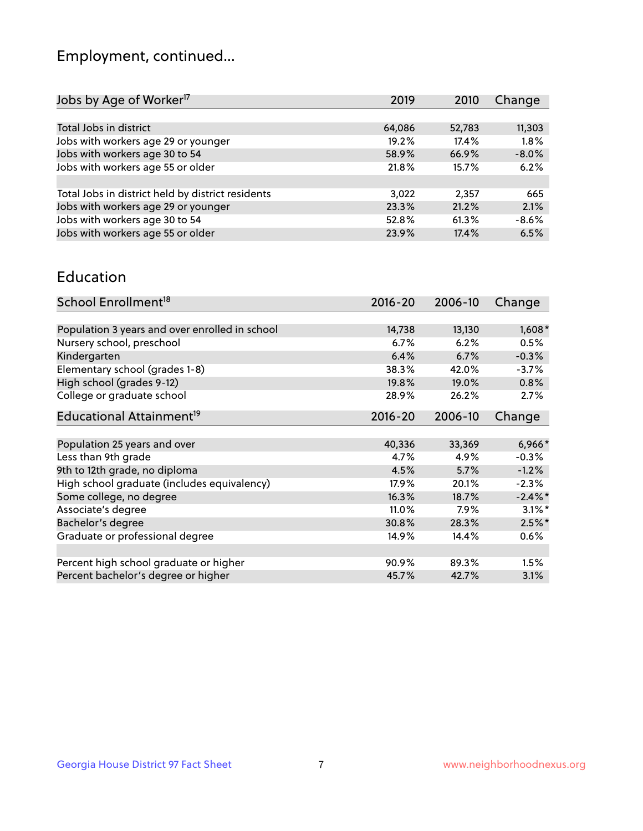## Employment, continued...

| 2010  | Change                                     |
|-------|--------------------------------------------|
|       |                                            |
|       | 11,303                                     |
| 17.4% | 1.8%                                       |
|       | $-8.0%$                                    |
|       | 6.2%                                       |
|       |                                            |
| 2,357 | 665                                        |
|       | 2.1%                                       |
|       | $-8.6%$                                    |
| 17.4% | 6.5%                                       |
|       | 52,783<br>66.9%<br>15.7%<br>21.2%<br>61.3% |

#### Education

| School Enrollment <sup>18</sup>                | $2016 - 20$ | 2006-10 | Change    |
|------------------------------------------------|-------------|---------|-----------|
|                                                |             |         |           |
| Population 3 years and over enrolled in school | 14,738      | 13,130  | $1,608*$  |
| Nursery school, preschool                      | 6.7%        | 6.2%    | 0.5%      |
| Kindergarten                                   | 6.4%        | 6.7%    | $-0.3%$   |
| Elementary school (grades 1-8)                 | 38.3%       | 42.0%   | $-3.7%$   |
| High school (grades 9-12)                      | 19.8%       | 19.0%   | 0.8%      |
| College or graduate school                     | 28.9%       | 26.2%   | 2.7%      |
| Educational Attainment <sup>19</sup>           | $2016 - 20$ | 2006-10 | Change    |
|                                                |             |         |           |
| Population 25 years and over                   | 40,336      | 33,369  | $6,966*$  |
| Less than 9th grade                            | 4.7%        | 4.9%    | $-0.3%$   |
| 9th to 12th grade, no diploma                  | 4.5%        | 5.7%    | $-1.2%$   |
| High school graduate (includes equivalency)    | 17.9%       | 20.1%   | $-2.3%$   |
| Some college, no degree                        | 16.3%       | 18.7%   | $-2.4\%$  |
| Associate's degree                             | 11.0%       | 7.9%    | $3.1\%$ * |
| Bachelor's degree                              | 30.8%       | 28.3%   | $2.5%$ *  |
| Graduate or professional degree                | 14.9%       | 14.4%   | $0.6\%$   |
|                                                |             |         |           |
| Percent high school graduate or higher         | 90.9%       | 89.3%   | 1.5%      |
| Percent bachelor's degree or higher            | 45.7%       | 42.7%   | 3.1%      |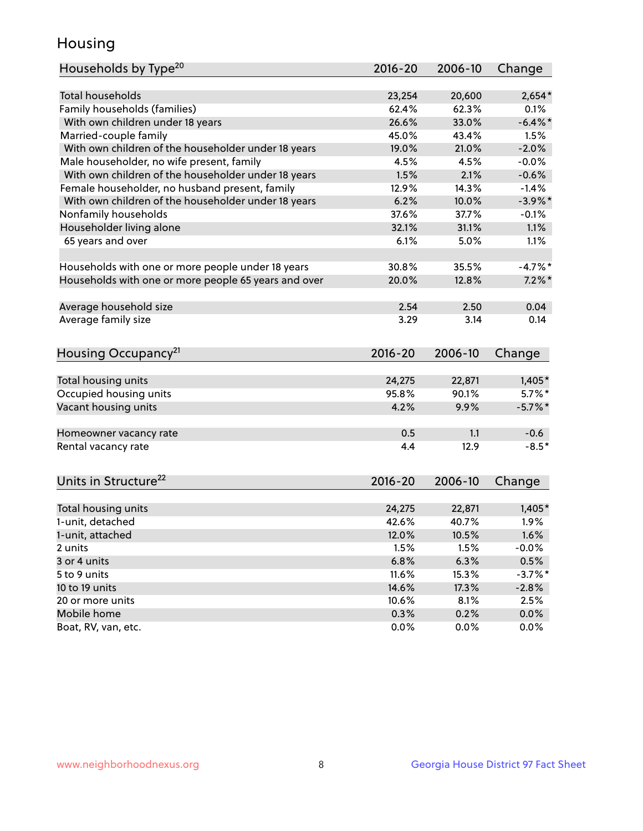## Housing

| Households by Type <sup>20</sup>                     | 2016-20 | 2006-10 | Change     |
|------------------------------------------------------|---------|---------|------------|
|                                                      |         |         |            |
| <b>Total households</b>                              | 23,254  | 20,600  | $2,654*$   |
| Family households (families)                         | 62.4%   | 62.3%   | 0.1%       |
| With own children under 18 years                     | 26.6%   | 33.0%   | $-6.4\%$ * |
| Married-couple family                                | 45.0%   | 43.4%   | 1.5%       |
| With own children of the householder under 18 years  | 19.0%   | 21.0%   | $-2.0%$    |
| Male householder, no wife present, family            | 4.5%    | 4.5%    | $-0.0%$    |
| With own children of the householder under 18 years  | 1.5%    | 2.1%    | $-0.6%$    |
| Female householder, no husband present, family       | 12.9%   | 14.3%   | $-1.4%$    |
| With own children of the householder under 18 years  | 6.2%    | 10.0%   | $-3.9\%$ * |
| Nonfamily households                                 | 37.6%   | 37.7%   | $-0.1%$    |
| Householder living alone                             | 32.1%   | 31.1%   | 1.1%       |
| 65 years and over                                    | 6.1%    | 5.0%    | 1.1%       |
|                                                      |         |         |            |
| Households with one or more people under 18 years    | 30.8%   | 35.5%   | $-4.7%$ *  |
| Households with one or more people 65 years and over | 20.0%   | 12.8%   | $7.2\%$ *  |
| Average household size                               | 2.54    | 2.50    | 0.04       |
| Average family size                                  | 3.29    | 3.14    | 0.14       |
|                                                      |         |         |            |
| Housing Occupancy <sup>21</sup>                      | 2016-20 | 2006-10 | Change     |
| Total housing units                                  | 24,275  | 22,871  | $1,405*$   |
| Occupied housing units                               | 95.8%   | 90.1%   | $5.7\%$ *  |
| Vacant housing units                                 | 4.2%    | 9.9%    | $-5.7\%$ * |
|                                                      |         |         |            |
| Homeowner vacancy rate                               | 0.5     | 1.1     | $-0.6$     |
| Rental vacancy rate                                  | 4.4     | 12.9    | $-8.5*$    |
|                                                      |         |         |            |
| Units in Structure <sup>22</sup>                     | 2016-20 | 2006-10 | Change     |
| Total housing units                                  | 24,275  | 22,871  | $1,405*$   |
| 1-unit, detached                                     | 42.6%   | 40.7%   | 1.9%       |
| 1-unit, attached                                     | 12.0%   | 10.5%   | 1.6%       |
| 2 units                                              | 1.5%    | 1.5%    | $-0.0%$    |
| 3 or 4 units                                         | 6.8%    | 6.3%    | 0.5%       |
| 5 to 9 units                                         | 11.6%   | 15.3%   | $-3.7%$ *  |
| 10 to 19 units                                       | 14.6%   | 17.3%   | $-2.8%$    |
| 20 or more units                                     | 10.6%   | 8.1%    | 2.5%       |
| Mobile home                                          | 0.3%    | 0.2%    | $0.0\%$    |
| Boat, RV, van, etc.                                  | 0.0%    | $0.0\%$ | $0.0\%$    |
|                                                      |         |         |            |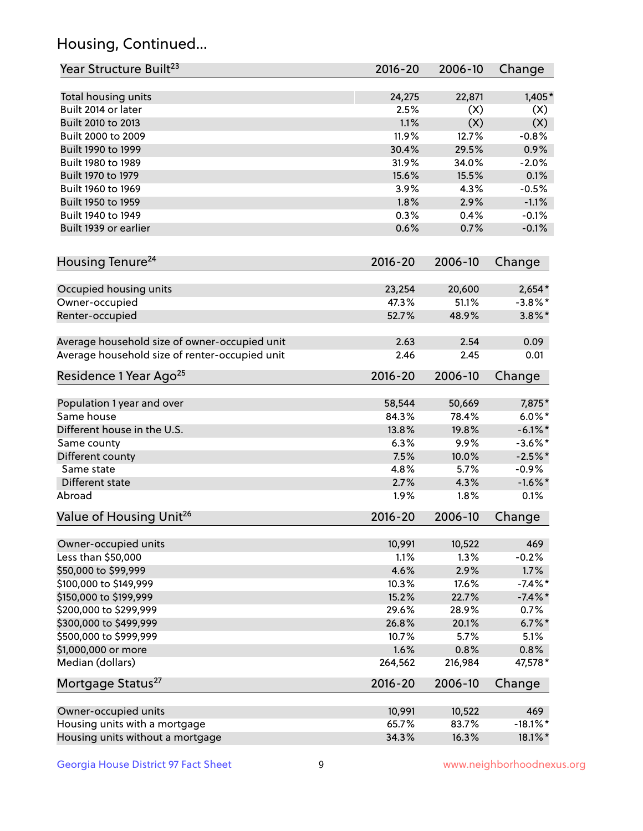## Housing, Continued...

| Year Structure Built <sup>23</sup>             | 2016-20       | 2006-10       | Change                   |
|------------------------------------------------|---------------|---------------|--------------------------|
| Total housing units                            | 24,275        | 22,871        | $1,405*$                 |
| Built 2014 or later                            | 2.5%          | (X)           | (X)                      |
| Built 2010 to 2013                             | 1.1%          | (X)           | (X)                      |
| Built 2000 to 2009                             | 11.9%         | 12.7%         | $-0.8%$                  |
| Built 1990 to 1999                             | 30.4%         | 29.5%         | 0.9%                     |
| Built 1980 to 1989                             | 31.9%         | 34.0%         | $-2.0%$                  |
| Built 1970 to 1979                             | 15.6%         | 15.5%         | 0.1%                     |
| Built 1960 to 1969                             | 3.9%          | 4.3%          | $-0.5%$                  |
| Built 1950 to 1959                             | 1.8%          | 2.9%          | $-1.1%$                  |
| Built 1940 to 1949                             | 0.3%          | 0.4%          | $-0.1%$                  |
| Built 1939 or earlier                          | 0.6%          | 0.7%          | $-0.1%$                  |
| Housing Tenure <sup>24</sup>                   | $2016 - 20$   | 2006-10       | Change                   |
|                                                |               |               |                          |
| Occupied housing units                         | 23,254        | 20,600        | $2,654*$                 |
| Owner-occupied                                 | 47.3%         | 51.1%         | $-3.8\%$ *               |
| Renter-occupied                                | 52.7%         | 48.9%         | $3.8\%$ *                |
| Average household size of owner-occupied unit  | 2.63          | 2.54          | 0.09                     |
| Average household size of renter-occupied unit | 2.46          | 2.45          | 0.01                     |
| Residence 1 Year Ago <sup>25</sup>             | $2016 - 20$   | 2006-10       | Change                   |
|                                                |               |               |                          |
| Population 1 year and over<br>Same house       | 58,544        | 50,669        | 7,875*<br>$6.0\%$ *      |
|                                                | 84.3%         | 78.4%         |                          |
| Different house in the U.S.                    | 13.8%<br>6.3% | 19.8%<br>9.9% | $-6.1\%$ *<br>$-3.6\%$ * |
| Same county                                    | 7.5%          | 10.0%         | $-2.5%$ *                |
| Different county<br>Same state                 | 4.8%          | 5.7%          | $-0.9%$                  |
| Different state                                | 2.7%          | 4.3%          | $-1.6\%$ *               |
| Abroad                                         | 1.9%          | 1.8%          | 0.1%                     |
|                                                |               |               |                          |
| Value of Housing Unit <sup>26</sup>            | $2016 - 20$   | 2006-10       | Change                   |
| Owner-occupied units                           | 10,991        | 10,522        | 469                      |
| Less than \$50,000                             | 1.1%          | 1.3%          | $-0.2%$                  |
| \$50,000 to \$99,999                           | 4.6%          | 2.9%          | 1.7%                     |
| \$100,000 to \$149,999                         | 10.3%         | 17.6%         | $-7.4\%$ *               |
| \$150,000 to \$199,999                         | 15.2%         | 22.7%         | $-7.4\%$ *               |
| \$200,000 to \$299,999                         | 29.6%         | 28.9%         | 0.7%                     |
| \$300,000 to \$499,999                         | 26.8%         | 20.1%         | $6.7\%$ *                |
| \$500,000 to \$999,999                         | 10.7%         | 5.7%          | 5.1%                     |
| \$1,000,000 or more                            | 1.6%          | 0.8%          | 0.8%                     |
| Median (dollars)                               | 264,562       | 216,984       | 47,578*                  |
| Mortgage Status <sup>27</sup>                  | $2016 - 20$   | 2006-10       | Change                   |
|                                                |               |               |                          |
| Owner-occupied units                           | 10,991        | 10,522        | 469                      |
| Housing units with a mortgage                  | 65.7%         | 83.7%         | $-18.1\%$ *              |
| Housing units without a mortgage               | 34.3%         | 16.3%         | 18.1%*                   |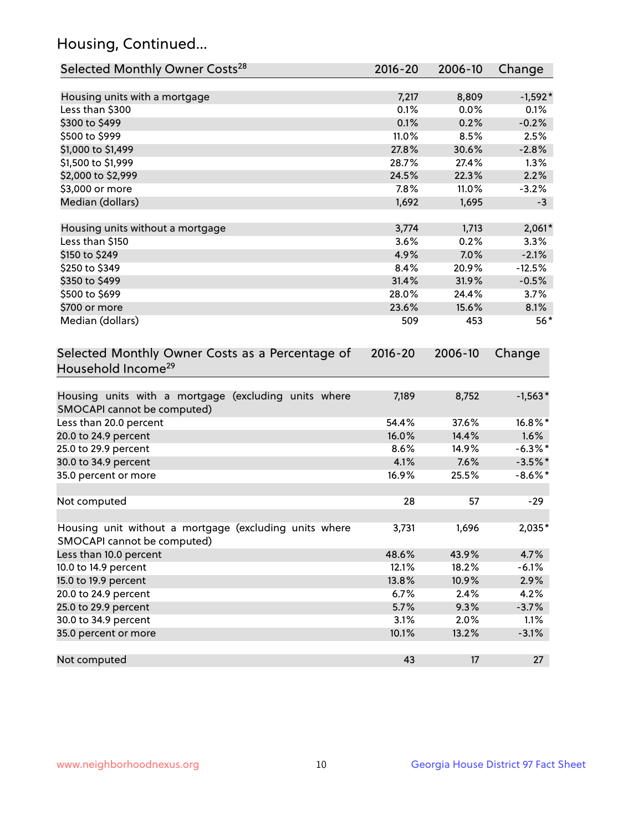## Housing, Continued...

| Selected Monthly Owner Costs <sup>28</sup>                                            | 2016-20     | 2006-10 | Change     |
|---------------------------------------------------------------------------------------|-------------|---------|------------|
| Housing units with a mortgage                                                         | 7,217       | 8,809   | $-1,592*$  |
| Less than \$300                                                                       | 0.1%        | 0.0%    | 0.1%       |
| \$300 to \$499                                                                        | 0.1%        | 0.2%    | $-0.2%$    |
| \$500 to \$999                                                                        | 11.0%       | 8.5%    | 2.5%       |
| \$1,000 to \$1,499                                                                    | 27.8%       | 30.6%   | $-2.8%$    |
| \$1,500 to \$1,999                                                                    | 28.7%       | 27.4%   | 1.3%       |
| \$2,000 to \$2,999                                                                    | 24.5%       | 22.3%   | 2.2%       |
| \$3,000 or more                                                                       | 7.8%        | 11.0%   | $-3.2%$    |
| Median (dollars)                                                                      | 1,692       | 1,695   | $-3$       |
|                                                                                       |             |         |            |
| Housing units without a mortgage                                                      | 3,774       | 1,713   | $2,061*$   |
| Less than \$150                                                                       | 3.6%        | 0.2%    | 3.3%       |
| \$150 to \$249                                                                        | 4.9%        | 7.0%    | $-2.1%$    |
| \$250 to \$349                                                                        | 8.4%        | 20.9%   | $-12.5%$   |
| \$350 to \$499                                                                        | 31.4%       | 31.9%   | $-0.5%$    |
| \$500 to \$699                                                                        | 28.0%       | 24.4%   | 3.7%       |
| \$700 or more                                                                         | 23.6%       | 15.6%   | 8.1%       |
| Median (dollars)                                                                      | 509         | 453     | $56*$      |
| Selected Monthly Owner Costs as a Percentage of<br>Household Income <sup>29</sup>     | $2016 - 20$ | 2006-10 | Change     |
| Housing units with a mortgage (excluding units where<br>SMOCAPI cannot be computed)   | 7,189       | 8,752   | $-1,563*$  |
| Less than 20.0 percent                                                                | 54.4%       | 37.6%   | 16.8%*     |
| 20.0 to 24.9 percent                                                                  | 16.0%       | 14.4%   | 1.6%       |
| 25.0 to 29.9 percent                                                                  | 8.6%        | 14.9%   | $-6.3\%$ * |
| 30.0 to 34.9 percent                                                                  | 4.1%        | 7.6%    | $-3.5%$ *  |
| 35.0 percent or more                                                                  | 16.9%       | 25.5%   | $-8.6\%$ * |
| Not computed                                                                          | 28          | 57      | $-29$      |
| Housing unit without a mortgage (excluding units where<br>SMOCAPI cannot be computed) | 3,731       | 1,696   | 2,035*     |
| Less than 10.0 percent                                                                | 48.6%       | 43.9%   | 4.7%       |
| 10.0 to 14.9 percent                                                                  | 12.1%       | 18.2%   | $-6.1%$    |
| 15.0 to 19.9 percent                                                                  | 13.8%       | 10.9%   | 2.9%       |
| 20.0 to 24.9 percent                                                                  | 6.7%        | 2.4%    | 4.2%       |
| 25.0 to 29.9 percent                                                                  | 5.7%        | 9.3%    | $-3.7%$    |
| 30.0 to 34.9 percent                                                                  | 3.1%        | 2.0%    | 1.1%       |
| 35.0 percent or more                                                                  | 10.1%       | 13.2%   | $-3.1%$    |
| Not computed                                                                          | 43          | 17      | 27         |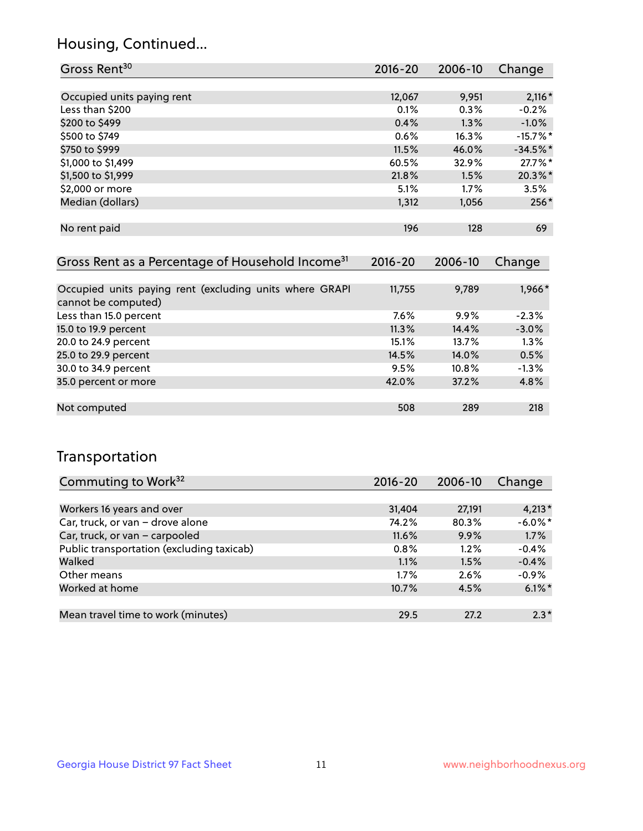### Housing, Continued...

| Gross Rent <sup>30</sup>   | 2016-20 | 2006-10 | Change     |
|----------------------------|---------|---------|------------|
|                            |         |         |            |
| Occupied units paying rent | 12,067  | 9,951   | $2,116*$   |
| Less than \$200            | 0.1%    | 0.3%    | $-0.2%$    |
| \$200 to \$499             | 0.4%    | 1.3%    | $-1.0%$    |
| \$500 to \$749             | 0.6%    | 16.3%   | $-15.7%$ * |
| \$750 to \$999             | 11.5%   | 46.0%   | $-34.5%$ * |
| \$1,000 to \$1,499         | 60.5%   | 32.9%   | 27.7%*     |
| \$1,500 to \$1,999         | 21.8%   | 1.5%    | 20.3%*     |
| \$2,000 or more            | 5.1%    | 1.7%    | 3.5%       |
| Median (dollars)           | 1,312   | 1,056   | 256*       |
|                            |         |         |            |
| No rent paid               | 196     | 128     | 69         |
|                            |         |         |            |

| Gross Rent as a Percentage of Household Income <sup>31</sup>                   | $2016 - 20$ | 2006-10 | Change  |
|--------------------------------------------------------------------------------|-------------|---------|---------|
|                                                                                |             |         |         |
| Occupied units paying rent (excluding units where GRAPI<br>cannot be computed) | 11,755      | 9,789   | 1,966*  |
| Less than 15.0 percent                                                         | 7.6%        | 9.9%    | $-2.3%$ |
| 15.0 to 19.9 percent                                                           | 11.3%       | 14.4%   | $-3.0%$ |
| 20.0 to 24.9 percent                                                           | 15.1%       | 13.7%   | 1.3%    |
| 25.0 to 29.9 percent                                                           | 14.5%       | 14.0%   | 0.5%    |
| 30.0 to 34.9 percent                                                           | 9.5%        | 10.8%   | $-1.3%$ |
| 35.0 percent or more                                                           | 42.0%       | 37.2%   | 4.8%    |
|                                                                                |             |         |         |
| Not computed                                                                   | 508         | 289     | 218     |

## Transportation

| Commuting to Work <sup>32</sup>           | 2016-20 | 2006-10 | Change     |
|-------------------------------------------|---------|---------|------------|
|                                           |         |         |            |
| Workers 16 years and over                 | 31,404  | 27,191  | $4,213*$   |
| Car, truck, or van - drove alone          | 74.2%   | 80.3%   | $-6.0\%$ * |
| Car, truck, or van - carpooled            | 11.6%   | 9.9%    | 1.7%       |
| Public transportation (excluding taxicab) | 0.8%    | $1.2\%$ | $-0.4%$    |
| Walked                                    | 1.1%    | 1.5%    | $-0.4%$    |
| Other means                               | $1.7\%$ | 2.6%    | $-0.9%$    |
| Worked at home                            | 10.7%   | 4.5%    | $6.1\%$ *  |
|                                           |         |         |            |
| Mean travel time to work (minutes)        | 29.5    | 27.2    | $2.3*$     |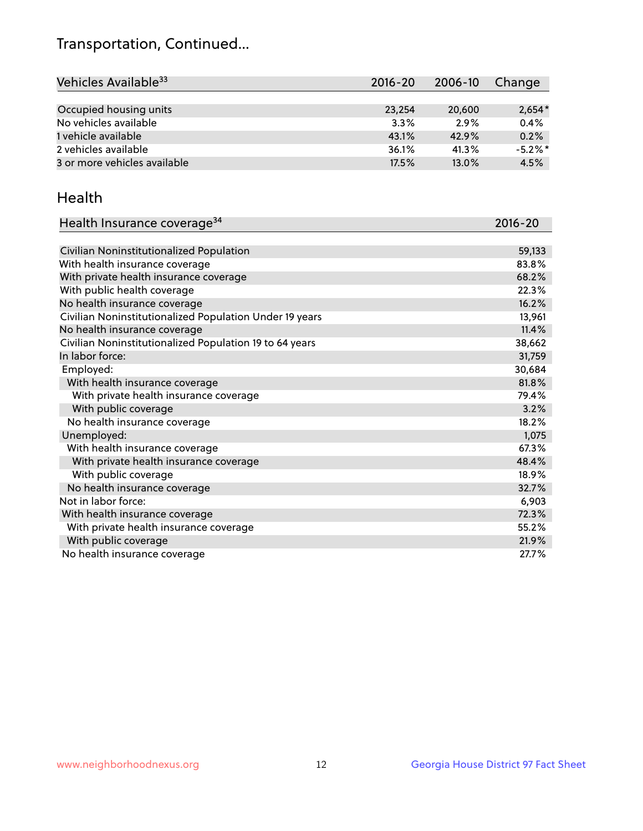## Transportation, Continued...

| Vehicles Available <sup>33</sup> | $2016 - 20$ | 2006-10 | Change     |
|----------------------------------|-------------|---------|------------|
|                                  |             |         |            |
| Occupied housing units           | 23,254      | 20,600  | $2,654*$   |
| No vehicles available            | 3.3%        | 2.9%    | 0.4%       |
| 1 vehicle available              | 43.1%       | 42.9%   | 0.2%       |
| 2 vehicles available             | 36.1%       | 41.3%   | $-5.2\%$ * |
| 3 or more vehicles available     | 17.5%       | 13.0%   | 4.5%       |

#### Health

| Health Insurance coverage <sup>34</sup>                 | 2016-20 |
|---------------------------------------------------------|---------|
|                                                         |         |
| Civilian Noninstitutionalized Population                | 59,133  |
| With health insurance coverage                          | 83.8%   |
| With private health insurance coverage                  | 68.2%   |
| With public health coverage                             | 22.3%   |
| No health insurance coverage                            | 16.2%   |
| Civilian Noninstitutionalized Population Under 19 years | 13,961  |
| No health insurance coverage                            | 11.4%   |
| Civilian Noninstitutionalized Population 19 to 64 years | 38,662  |
| In labor force:                                         | 31,759  |
| Employed:                                               | 30,684  |
| With health insurance coverage                          | 81.8%   |
| With private health insurance coverage                  | 79.4%   |
| With public coverage                                    | 3.2%    |
| No health insurance coverage                            | 18.2%   |
| Unemployed:                                             | 1,075   |
| With health insurance coverage                          | 67.3%   |
| With private health insurance coverage                  | 48.4%   |
| With public coverage                                    | 18.9%   |
| No health insurance coverage                            | 32.7%   |
| Not in labor force:                                     | 6,903   |
| With health insurance coverage                          | 72.3%   |
| With private health insurance coverage                  | 55.2%   |
| With public coverage                                    | 21.9%   |
| No health insurance coverage                            | 27.7%   |